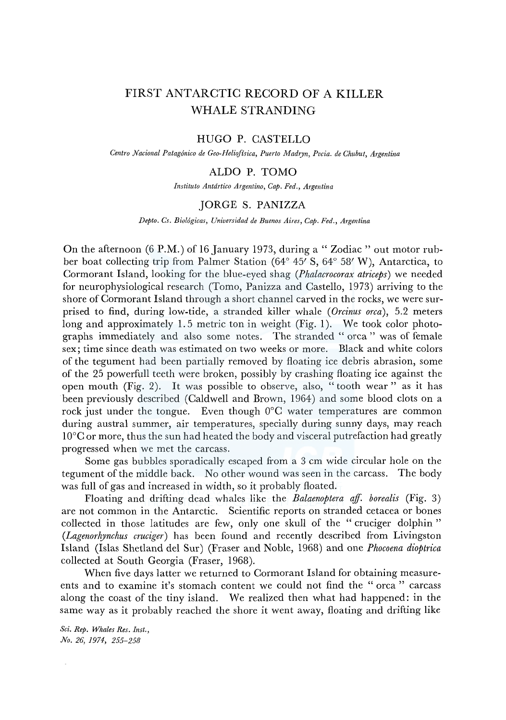# FIRST ANTARCTIC RECORD OF A KILLER WHALE STRANDING

## HUGO P. CASTELLO

*Centro Nacional Patag6nico de Geo-Helioffsica, Puerto Madryn, Pvcia. de Chubut, Argentina* 

## ALDO P. TOMO

*Instituto Antdrtico Argentina, Cap. Fed., Argentina* 

#### JORGE S. PANIZZA

*Depto. Cs. Biol6gicas, Universidad de Buenos Aires, Cap. Fed., Argentina* 

On the afternoon (6 P.M.) of 16 January 1973, during a "Zodiac" out motor rubber boat collecting trip from Palmer Station (64° 45' S, 64° 58' W), Antarctica, to Cormorant Island, looking for the blue-eyed shag *(Phalacrocorax atriceps)* we needed for neurophysiological research (Torno, Panizza and Castello, 1973) arriving to the shore of Cormorant Island through a short channel carved in the rocks, we were surprised to find, during low-tide, a stranded killer whale *(Orcinus orca),* 5.2 meters long and approximately 1. 5 metric ton in weight (Fig. 1). We took color photographs immediately and also some notes. The stranded "orca" was of female sex; time since death was estimated on two weeks or more. Black and white colors of the tegument had been partially removed by floating ice debris abrasion, some of the 25 powerfull teeth were broken, possibly by crashing floating ice against the open mouth (Fig. 2). It was possible to observe, also, "tooth wear" as it has been previously described (Caldwell and Brown, 1964) and some blood clots on a rock just under the tongue. Even though  $0^{\circ}$ C water temperatures are common during austral summer, air temperatures, specially during sunny days, may reach l0°C or more, thus the sun had heated the body and visceral putrefaction had greatly progressed when we met the carcass.

Some gas bubbles sporadically escaped from a 3 cm wide circular hole on the tegument of the middle back. No other wound was seen in the carcass. The body was full of gas and increased in width, so it probably floated.

Floating and drifting dead whales like the *Balaenoptera aff. borealis* (Fig. 3) are not common in the Antarctic. Scientific reports on stranded cetacea or bones collected in those latitudes are few, only one skull of the " cruciger dolphin " *(Lagenorhynchus cruciger)* has been found and recently described from Livingston Island (Islas Shetland del Sur) (Fraser and Noble, 1968) and one *Phocoena dioptrica*  collected at South Georgia (Fraser, 1968).

When five days latter we returned to Cormorant Island for obtaining measureents and to examine it's stomach content we could not find the " orca " carcass along the coast of the tiny island. We realized then what had happened: in the same way as it probably reached the shore it went away, floating and drifting like

*Sci. Rep. Whales Res. Inst., No. 26, 1974, 255-258*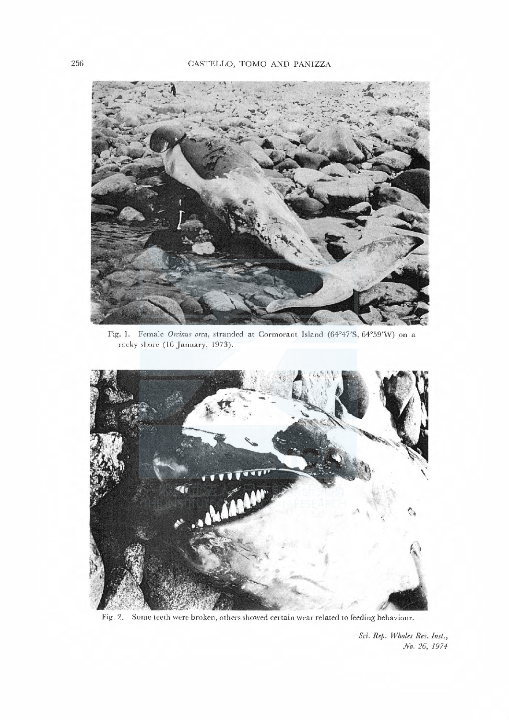

Fig. 1. Female Orcinus orca, stranded at Cormorant Island (64°47'S, 64°59'W) on a rocky shore (16 January, 1973).



Fig. 2. Some teeth were broken, others showed certain wear related to feeding behaviour.

Sci. Rep. Whales Res. Inst., No. 26, 1974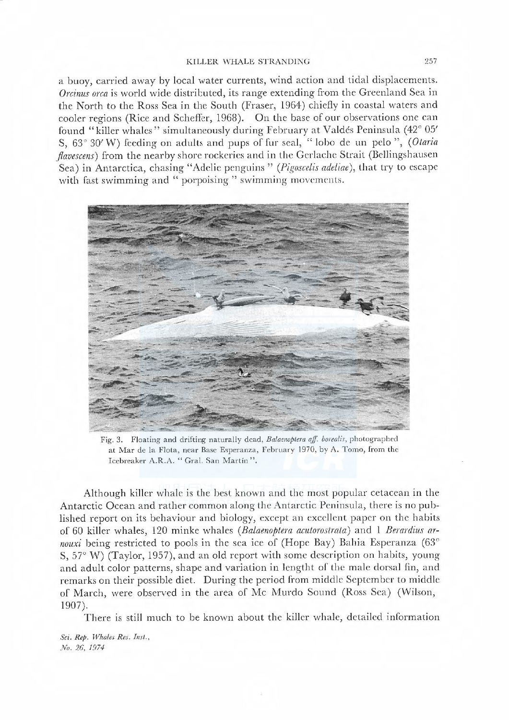a buoy, carried away by local water currents, wind action and tidal displacements. Orcinus orca is world wide distributed, its range extending from the Greenland Sea in the North to the Ross Sea in the South (Fraser, 1964) chiefly in coastal waters and cooler regions (Rice and Scheffer, 1968). On the base of our observations one can found "killer whales" simultaneously during February at Valdes Peninsula (42° 05' S, 63° 30' W) feeding on adults and pups of fur seal, "lobo de un pelo ", (Otaria flavescens) from the nearby shore rockeries and in the Gerlache Strait (Bellingshausen Sea) in Antarctica, chasing "Adelie penguins" (Pigoscelis adeliae), that try to escape with fast swimming and "porpoising" swimming movements.



Fig. 3. Floating and drifting naturally dead, Balaenoptera aff. borealis, photographed at Mar de la Flota, near Base Esperanza, February 1970, by A. Tomo, from the Icebreaker A.R.A. "Gral. San Martín".

Although killer whale is the best known and the most popular cetacean in the Antarctic Ocean and rather common along the Antarctic Peninsula, there is no published report on its behaviour and biology, except an excellent paper on the habits of 60 killer whales, 120 minke whales (BaLaenoptera acutorostrata) and 1 Berardius arnouxi being restricted to pools in the sea ice of (Hope Bay) Bahia Esperanza (63 $^{\circ}$ S, 57° vV) (Taylor, 1957), and an old report with some description on habits, young and adult color patterns, shape and variation in lcngtht of the male dorsal fin, and remarks on their possible diet. During the period from middle September to middle of March, were observed in the area of Mc Murdo Sound (Ross Sea) (Wilson, 1907).

There is still much to be known about the killer whale, detailed information

Sci. Rep. Whales Res. Inst., No. 26, 1974